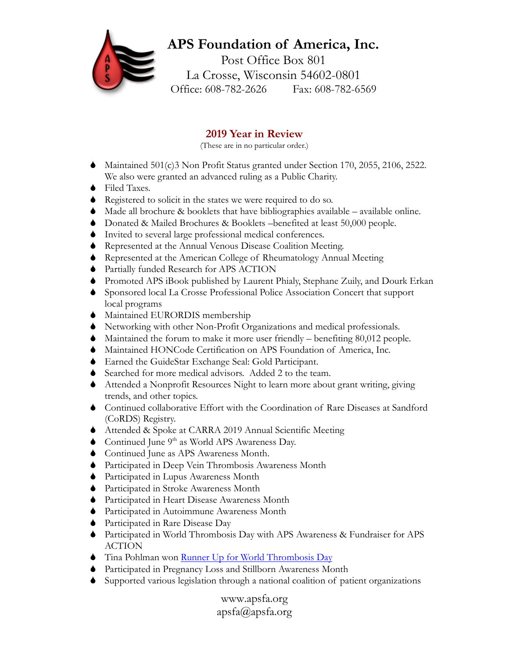## **APS Foundation of America, Inc.** Post Office Box 801

La Crosse, Wisconsin 54602-0801 Office: 608-782-2626 Fax: 608-782-6569

## **2019 Year in Review**

(These are in no particular order.)

- Maintained 501(c)3 Non Profit Status granted under Section 170, 2055, 2106, 2522. We also were granted an advanced ruling as a Public Charity.
- ◆ Filed Taxes.
- Registered to solicit in the states we were required to do so.
- Made all brochure & booklets that have bibliographies available available online.
- Donated & Mailed Brochures & Booklets –benefited at least 50,000 people.
- Invited to several large professional medical conferences.
- Represented at the Annual Venous Disease Coalition Meeting.
- Represented at the American College of Rheumatology Annual Meeting
- Partially funded Research for APS ACTION
- Promoted APS iBook published by Laurent Phialy, Stephane Zuily, and Dourk Erkan
- Sponsored local La Crosse Professional Police Association Concert that support local programs
- $\blacklozenge$  Maintained EURORDIS membership
- Networking with other Non-Profit Organizations and medical professionals.
- Maintained the forum to make it more user friendly benefiting 80,012 people.
- Maintained HONCode Certification on APS Foundation of America, Inc.
- Earned the GuideStar Exchange Seal: Gold Participant.
- Searched for more medical advisors. Added 2 to the team.
- Attended a Nonprofit Resources Night to learn more about grant writing, giving trends, and other topics.
- Continued collaborative Effort with the Coordination of Rare Diseases at Sandford (CoRDS) Registry.
- Attended & Spoke at CARRA 2019 Annual Scientific Meeting
- $\bullet$  Continued June 9<sup>th</sup> as World APS Awareness Day.
- Continued June as APS Awareness Month.
- Participated in Deep Vein Thrombosis Awareness Month
- Participated in Lupus Awareness Month
- Participated in Stroke Awareness Month
- Participated in Heart Disease Awareness Month
- Participated in Autoimmune Awareness Month
- Participated in Rare Disease Day
- Participated in World Thrombosis Day with APS Awareness & Fundraiser for APS ACTION
- **Tina Pohlman won [Runner Up for World Thrombosis Day](https://www.worldthrombosisday.org/action/ambassador/)**
- Participated in Pregnancy Loss and Stillborn Awareness Month
- Supported various legislation through a national coalition of patient organizations

www.apsfa.org apsfa@apsfa.org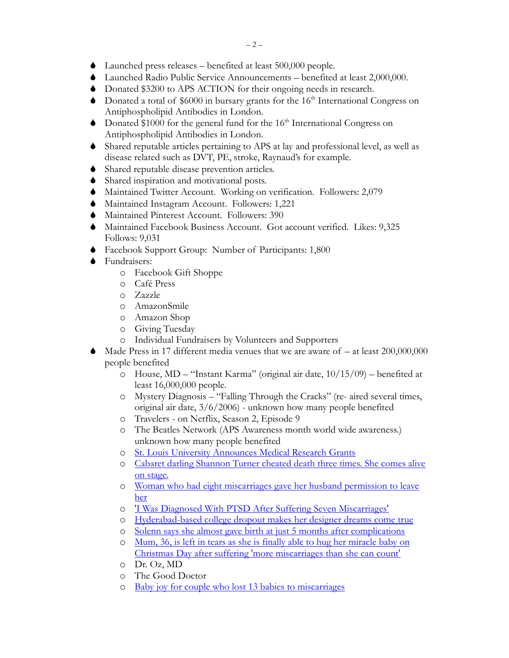- Launched press releases benefited at least 500,000 people.
- Launched Radio Public Service Announcements benefited at least 2,000,000.
- Donated \$3200 to APS ACTION for their ongoing needs in research.
- $\bullet$  Donated a total of \$6000 in bursary grants for the 16<sup>th</sup> International Congress on Antiphospholipid Antibodies in London.
- $\bullet$  Donated \$1000 for the general fund for the 16<sup>th</sup> International Congress on Antiphospholipid Antibodies in London.
- Shared reputable articles pertaining to APS at lay and professional level, as well as disease related such as DVT, PE, stroke, Raynaud's for example.
- Shared reputable disease prevention articles.
- Shared inspiration and motivational posts.
- Maintained Twitter Account. Working on verification. Followers: 2,079
- Maintained Instagram Account. Followers: 1,221
- Maintained Pinterest Account. Followers: 390
- Maintained Facebook Business Account. Got account verified. Likes: 9,325 Follows: 9,031
- Facebook Support Group: Number of Participants: 1,800
- **◆** Fundraisers:
	- o Facebook Gift Shoppe
	- o Café Press
	- o Zazzle
	- o AmazonSmile
	- o Amazon Shop
	- o Giving Tuesday
	- o Individual Fundraisers by Volunteers and Supporters
- Made Press in 17 different media venues that we are aware of at least 200,000,000 people benefited
	- o House, MD "Instant Karma" (original air date, 10/15/09) benefited at least 16,000,000 people.
	- o Mystery Diagnosis "Falling Through the Cracks" (re- aired several times, original air date, 3/6/2006) - unknown how many people benefited
	- o Travelers on Netflix, Season 2, Episode 9
	- o The Beatles Network (APS Awareness month world wide awareness.) unknown how many people benefited
	- o [St. Louis University Announces Medical Research Grants](https://moosegazette.net/%F0%9F%94%A5st-louis-university-announces-medical-research-grants%F0%9F%94%A5/17272/)
	- o [Cabaret darling Shannon Turner cheated death three times. She comes alive](https://www.inquirer.com/life/shannon-turner-trash-and-glitter-letage-20200210.html)  [on stage.](https://www.inquirer.com/life/shannon-turner-trash-and-glitter-letage-20200210.html)
	- o [Woman who had eight miscarriages gave her husband permission to leave](https://www.liverpoolecho.co.uk/news/liverpool-news/woman-shares-hell-eight-miscarriages-17648183)  [her](https://www.liverpoolecho.co.uk/news/liverpool-news/woman-shares-hell-eight-miscarriages-17648183)
	- o ['I Was Diagnosed With PTSD After Suffering Seven Miscarriages'](https://www.tyla.com/healthy/life-news-post-traumatic-stress-miscarriage-aftercare-ectopic-pregnancy-20200122)
	- o [Hyderabad-based college dropout makes her designer dreams come true](https://www.newindianexpress.com/lifestyle/fashion/2020/jan/22/hyderabad-based-college-dropout-makes-her-designer-dreams-come-true-2092627.html)
	- o [Solenn says she almost gave birth at just 5 months after complications](https://www.gmanetwork.com/news/showbiz/chikaminute/720737/solenn-says-she-almost-gave-birth-at-just-5-months-after-complications/story/)
	- o [Mum, 36, is left in tears as she is finally able to hug her miracle baby on](https://www.dailymail.co.uk/news/article-7829443/Melbourne-mum-finally-able-hug-baby-December-25-infant-born-four-months-early.html)  [Christmas Day after suffering 'more miscarriages than she can count'](https://www.dailymail.co.uk/news/article-7829443/Melbourne-mum-finally-able-hug-baby-December-25-infant-born-four-months-early.html)
	- o Dr. Oz, MD
	- o The Good Doctor
	- o [Baby joy for couple who lost 13 babies to miscarriages](https://www.bbc.com/news/uk-england-coventry-warwickshire-48615134)